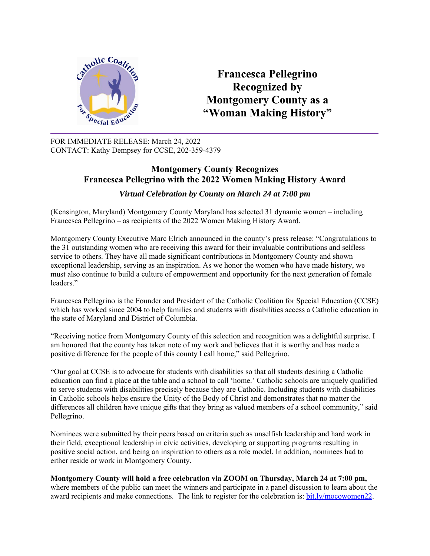

**Francesca Pellegrino Recognized by Montgomery County as a "Woman Making History"** 

FOR IMMEDIATE RELEASE: March 24, 2022 CONTACT: Kathy Dempsey for CCSE, 202-359-4379

## **Montgomery County Recognizes Francesca Pellegrino with the 2022 Women Making History Award**

*Virtual Celebration by County on March 24 at 7:00 pm*

(Kensington, Maryland) Montgomery County Maryland has selected 31 dynamic women – including Francesca Pellegrino – as recipients of the 2022 Women Making History Award.

Montgomery County Executive Marc Elrich announced in the county's press release: "Congratulations to the 31 outstanding women who are receiving this award for their invaluable contributions and selfless service to others. They have all made significant contributions in Montgomery County and shown exceptional leadership, serving as an inspiration. As we honor the women who have made history, we must also continue to build a culture of empowerment and opportunity for the next generation of female leaders."

Francesca Pellegrino is the Founder and President of the Catholic Coalition for Special Education (CCSE) which has worked since 2004 to help families and students with disabilities access a Catholic education in the state of Maryland and District of Columbia.

"Receiving notice from Montgomery County of this selection and recognition was a delightful surprise. I am honored that the county has taken note of my work and believes that it is worthy and has made a positive difference for the people of this county I call home," said Pellegrino.

"Our goal at CCSE is to advocate for students with disabilities so that all students desiring a Catholic education can find a place at the table and a school to call 'home.' Catholic schools are uniquely qualified to serve students with disabilities precisely because they are Catholic. Including students with disabilities in Catholic schools helps ensure the Unity of the Body of Christ and demonstrates that no matter the differences all children have unique gifts that they bring as valued members of a school community," said Pellegrino.

Nominees were submitted by their peers based on criteria such as unselfish leadership and hard work in their field, exceptional leadership in civic activities, developing or supporting programs resulting in positive social action, and being an inspiration to others as a role model. In addition, nominees had to either reside or work in Montgomery County.

## **Montgomery County will hold a free celebration via ZOOM on Thursday, March 24 at 7:00 pm,**

where members of the public can meet the winners and participate in a panel discussion to learn about the award recipients and make connections. The link to register for the celebration is: bit.ly/mocowomen22.